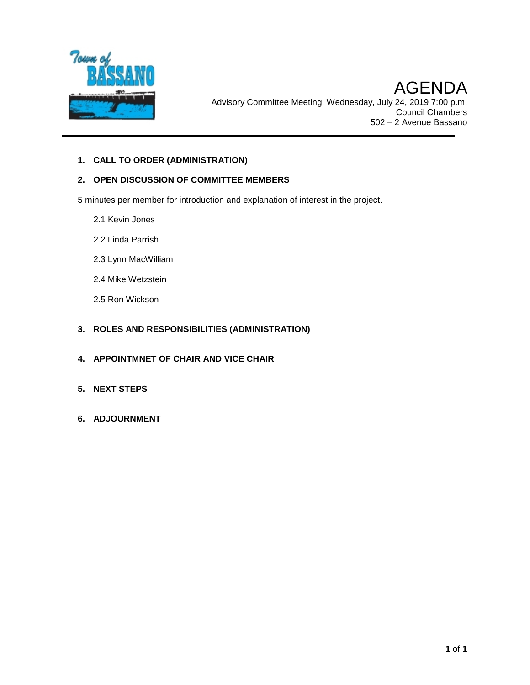

#### **1. CALL TO ORDER (ADMINISTRATION)**

#### **2. OPEN DISCUSSION OF COMMITTEE MEMBERS**

5 minutes per member for introduction and explanation of interest in the project.

- 2.1 Kevin Jones
- 2.2 Linda Parrish
- 2.3 Lynn MacWilliam
- 2.4 Mike Wetzstein
- 2.5 Ron Wickson

#### **3. ROLES AND RESPONSIBILITIES (ADMINISTRATION)**

- **4. APPOINTMNET OF CHAIR AND VICE CHAIR**
- **5. NEXT STEPS**
- **6. ADJOURNMENT**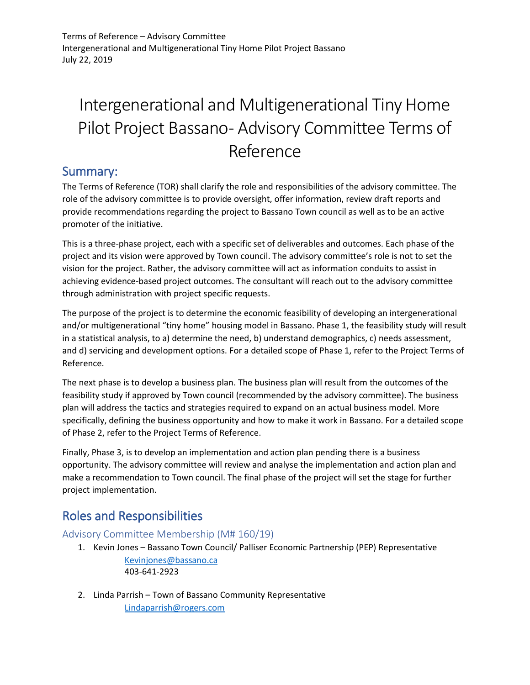Terms of Reference – Advisory Committee Intergenerational and Multigenerational Tiny Home Pilot Project Bassano July 22, 2019

# Intergenerational and Multigenerational Tiny Home Pilot Project Bassano- Advisory Committee Terms of Reference

## Summary:

The Terms of Reference (TOR) shall clarify the role and responsibilities of the advisory committee. The role of the advisory committee is to provide oversight, offer information, review draft reports and provide recommendations regarding the project to Bassano Town council as well as to be an active promoter of the initiative.

This is a three-phase project, each with a specific set of deliverables and outcomes. Each phase of the project and its vision were approved by Town council. The advisory committee's role is not to set the vision for the project. Rather, the advisory committee will act as information conduits to assist in achieving evidence-based project outcomes. The consultant will reach out to the advisory committee through administration with project specific requests.

The purpose of the project is to determine the economic feasibility of developing an intergenerational and/or multigenerational "tiny home" housing model in Bassano. Phase 1, the feasibility study will result in a statistical analysis, to a) determine the need, b) understand demographics, c) needs assessment, and d) servicing and development options. For a detailed scope of Phase 1, refer to the Project Terms of Reference.

The next phase is to develop a business plan. The business plan will result from the outcomes of the feasibility study if approved by Town council (recommended by the advisory committee). The business plan will address the tactics and strategies required to expand on an actual business model. More specifically, defining the business opportunity and how to make it work in Bassano. For a detailed scope of Phase 2, refer to the Project Terms of Reference.

Finally, Phase 3, is to develop an implementation and action plan pending there is a business opportunity. The advisory committee will review and analyse the implementation and action plan and make a recommendation to Town council. The final phase of the project will set the stage for further project implementation.

# Roles and Responsibilities

## Advisory Committee Membership (M# 160/19)

- 1. Kevin Jones Bassano Town Council/ Palliser Economic Partnership (PEP) Representative [Kevinjones@bassano.ca](mailto:Kevinjones@bassano.ca) 403-641-2923
- 2. Linda Parrish Town of Bassano Community Representative [Lindaparrish@rogers.com](mailto:Lindaparrish@rogers.com)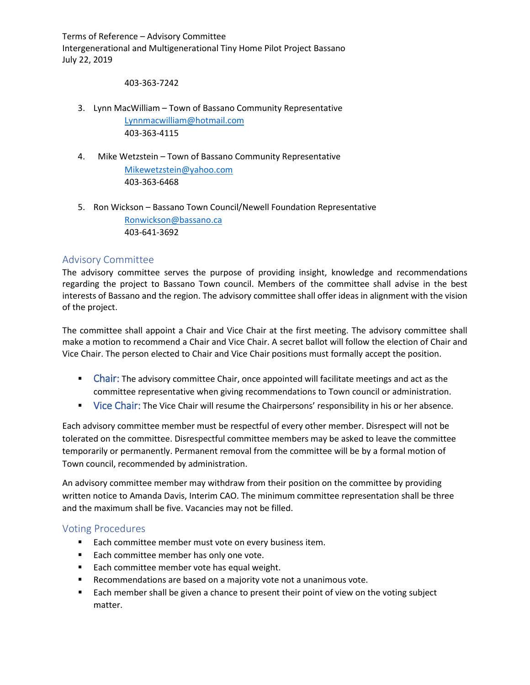Terms of Reference – Advisory Committee Intergenerational and Multigenerational Tiny Home Pilot Project Bassano July 22, 2019

403-363-7242

- 3. Lynn MacWilliam Town of Bassano Community Representative [Lynnmacwilliam@hotmail.com](mailto:Lynnmacwilliam@hotmail.com) 403-363-4115
- 4. Mike Wetzstein Town of Bassano Community Representative [Mikewetzstein@yahoo.com](mailto:Mikewetzstein@yahoo.com) 403-363-6468
- 5. Ron Wickson Bassano Town Council/Newell Foundation Representative [Ronwickson@bassano.ca](mailto:Ronwickson@bassano.ca) 403-641-3692

## Advisory Committee

The advisory committee serves the purpose of providing insight, knowledge and recommendations regarding the project to Bassano Town council. Members of the committee shall advise in the best interests of Bassano and the region. The advisory committee shall offer ideas in alignment with the vision of the project.

The committee shall appoint a Chair and Vice Chair at the first meeting. The advisory committee shall make a motion to recommend a Chair and Vice Chair. A secret ballot will follow the election of Chair and Vice Chair. The person elected to Chair and Vice Chair positions must formally accept the position.

- Chair: The advisory committee Chair, once appointed will facilitate meetings and act as the committee representative when giving recommendations to Town council or administration.
- Vice Chair: The Vice Chair will resume the Chairpersons' responsibility in his or her absence.

Each advisory committee member must be respectful of every other member. Disrespect will not be tolerated on the committee. Disrespectful committee members may be asked to leave the committee temporarily or permanently. Permanent removal from the committee will be by a formal motion of Town council, recommended by administration.

An advisory committee member may withdraw from their position on the committee by providing written notice to Amanda Davis, Interim CAO. The minimum committee representation shall be three and the maximum shall be five. Vacancies may not be filled.

## Voting Procedures

- **Each committee member must vote on every business item.**
- **Each committee member has only one vote.**
- Each committee member vote has equal weight.
- Recommendations are based on a majority vote not a unanimous vote.
- **Each member shall be given a chance to present their point of view on the voting subject** matter.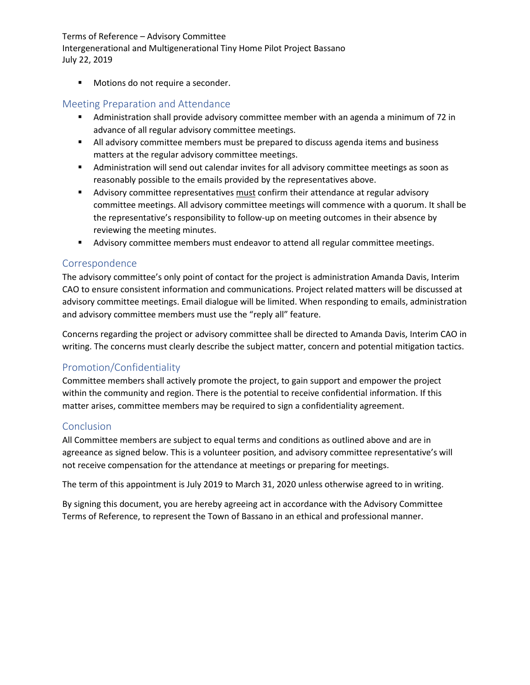Terms of Reference – Advisory Committee

Intergenerational and Multigenerational Tiny Home Pilot Project Bassano July 22, 2019

**Motions do not require a seconder.** 

## Meeting Preparation and Attendance

- Administration shall provide advisory committee member with an agenda a minimum of 72 in advance of all regular advisory committee meetings.
- **All advisory committee members must be prepared to discuss agenda items and business** matters at the regular advisory committee meetings.
- Administration will send out calendar invites for all advisory committee meetings as soon as reasonably possible to the emails provided by the representatives above.
- **Advisory committee representatives must confirm their attendance at regular advisory** committee meetings. All advisory committee meetings will commence with a quorum. It shall be the representative's responsibility to follow-up on meeting outcomes in their absence by reviewing the meeting minutes.
- **Advisory committee members must endeavor to attend all regular committee meetings.**

## Correspondence

The advisory committee's only point of contact for the project is administration Amanda Davis, Interim CAO to ensure consistent information and communications. Project related matters will be discussed at advisory committee meetings. Email dialogue will be limited. When responding to emails, administration and advisory committee members must use the "reply all" feature.

Concerns regarding the project or advisory committee shall be directed to Amanda Davis, Interim CAO in writing. The concerns must clearly describe the subject matter, concern and potential mitigation tactics.

## Promotion/Confidentiality

Committee members shall actively promote the project, to gain support and empower the project within the community and region. There is the potential to receive confidential information. If this matter arises, committee members may be required to sign a confidentiality agreement.

## **Conclusion**

All Committee members are subject to equal terms and conditions as outlined above and are in agreeance as signed below. This is a volunteer position, and advisory committee representative's will not receive compensation for the attendance at meetings or preparing for meetings.

The term of this appointment is July 2019 to March 31, 2020 unless otherwise agreed to in writing.

By signing this document, you are hereby agreeing act in accordance with the Advisory Committee Terms of Reference, to represent the Town of Bassano in an ethical and professional manner.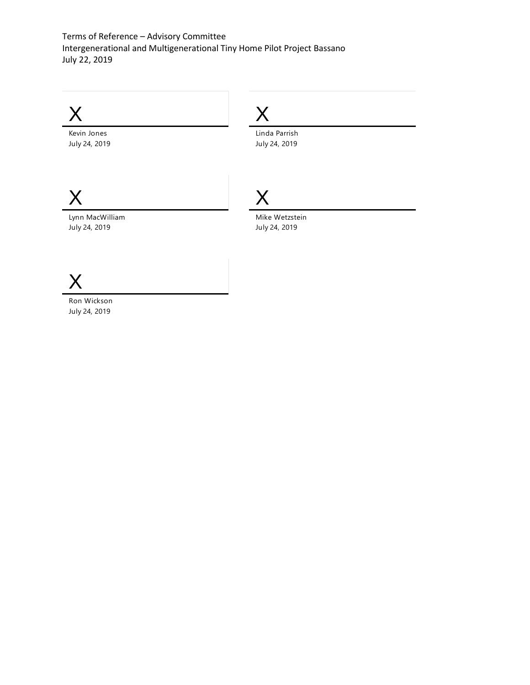Terms of Reference – Advisory Committee Intergenerational and Multigenerational Tiny Home Pilot Project Bassano July 22, 2019



X

Ron Wickson July 24, 2019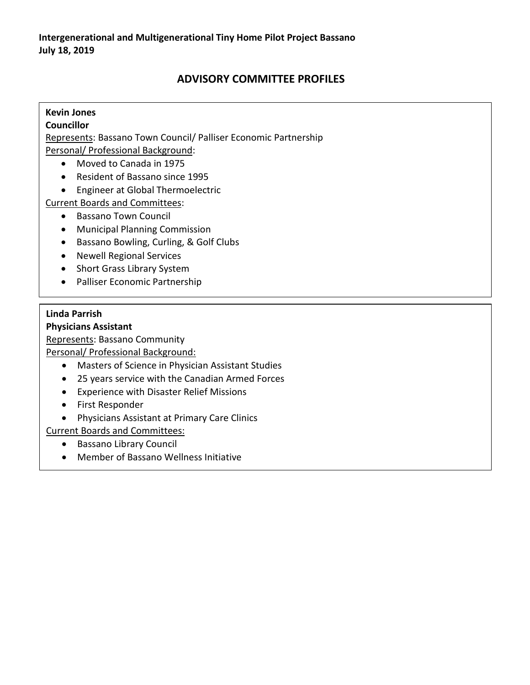## **ADVISORY COMMITTEE PROFILES**

## **Kevin Jones**

## **Councillor**

Represents: Bassano Town Council/ Palliser Economic Partnership Personal/ Professional Background:

- Moved to Canada in 1975
- Resident of Bassano since 1995
- Engineer at Global Thermoelectric

Current Boards and Committees:

- Bassano Town Council
- Municipal Planning Commission
- Bassano Bowling, Curling, & Golf Clubs
- Newell Regional Services
- Short Grass Library System
- Palliser Economic Partnership

## **Linda Parrish**

**Physicians Assistant**

Represents: Bassano Community

Personal/ Professional Background:

- Masters of Science in Physician Assistant Studies
- 25 years service with the Canadian Armed Forces
- Experience with Disaster Relief Missions
- First Responder
- Physicians Assistant at Primary Care Clinics

Current Boards and Committees:

- Bassano Library Council
- Member of Bassano Wellness Initiative